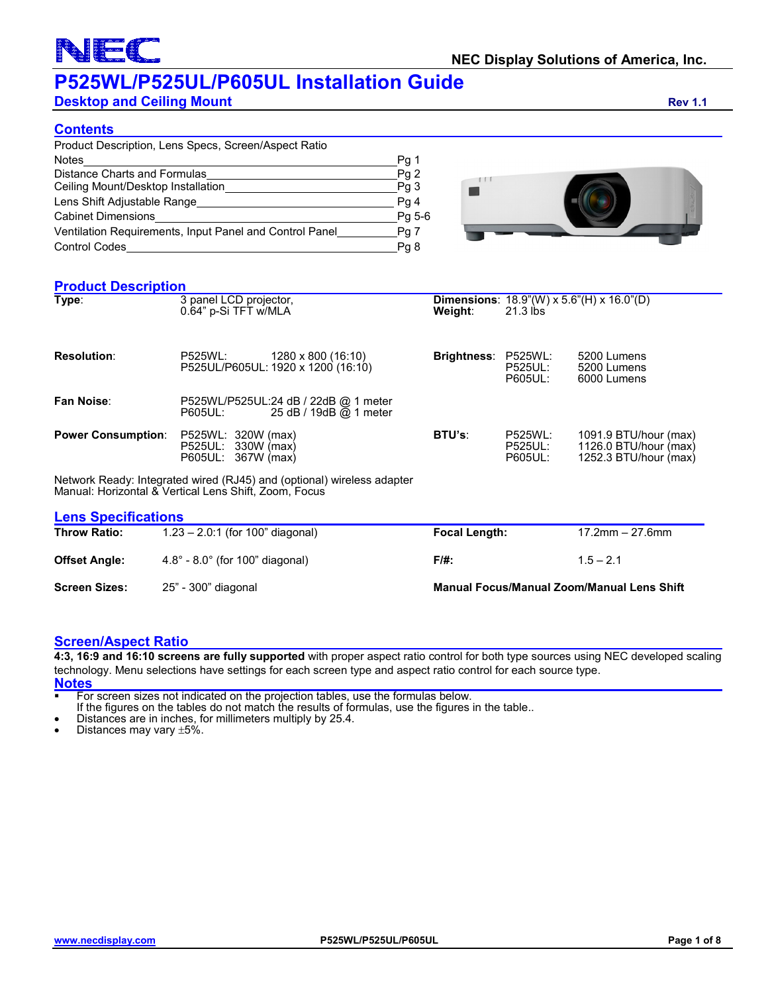## $\hspace{0.1cm}(\hspace{0.1cm}% \hspace{0.1cm}(\hspace{0.1cm}% \hspace{0.1cm}(\hspace{0.1cm}% \hspace{0.1cm}(\hspace{0.1cm}% \hspace{0.1cm}(\hspace{0.1cm}% \hspace{0.1cm}(\hspace{0.1cm}% \hspace{0.1cm}))$

## **P525WL/P525UL/P605UL Installation Guide**

**Desktop and Ceiling Mount Rev 1.1 Rev 1.1** 

### **Contents**

| Product Description, Lens Specs, Screen/Aspect Ratio    |        |
|---------------------------------------------------------|--------|
| <b>Notes</b>                                            | Pg 1   |
| Distance Charts and Formulas                            | Pg2    |
| Ceiling Mount/Desktop Installation                      | Pq 3   |
| Lens Shift Adjustable Range                             | Pg 4   |
| <b>Cabinet Dimensions</b>                               | Pg 5-6 |
| Ventilation Requirements, Input Panel and Control Panel | Pg 7   |
| <b>Control Codes</b>                                    | Pq 8   |



### **Product Description**

| Type:                      | 3 panel LCD projector,<br>0.64" p-Si TFT w/MLA                                                                                  | Weight:                           | <b>Dimensions:</b> $18.9$ "(W) x $5.6$ "(H) x $16.0$ "(D)<br>$21.3$ lbs |                                                                         |  |  |
|----------------------------|---------------------------------------------------------------------------------------------------------------------------------|-----------------------------------|-------------------------------------------------------------------------|-------------------------------------------------------------------------|--|--|
| <b>Resolution:</b>         | P525WL:<br>1280 x 800 (16:10)<br>P525UL/P605UL: 1920 x 1200 (16:10)                                                             | <b>Brightness:</b>                | <b>P525WL:</b><br><b>P525UL:</b><br><b>P605UL:</b>                      | 5200 Lumens<br>5200 Lumens<br>6000 Lumens                               |  |  |
| Fan Noise:                 | P525WL/P525UL:24 dB / 22dB @ 1 meter<br>25 dB / 19dB @ 1 meter<br><b>P605UL:</b>                                                |                                   |                                                                         |                                                                         |  |  |
| <b>Power Consumption:</b>  | P525WL: 320W (max)<br>P525UL: 330W (max)<br>P605UL: 367W (max)                                                                  | <b>BTU's:</b>                     | <b>P525WL:</b><br><b>P525UL:</b><br><b>P605UL:</b>                      | 1091.9 BTU/hour (max)<br>1126.0 BTU/hour (max)<br>1252.3 BTU/hour (max) |  |  |
|                            | Network Ready: Integrated wired (RJ45) and (optional) wireless adapter<br>Manual: Horizontal & Vertical Lens Shift. Zoom. Focus |                                   |                                                                         |                                                                         |  |  |
| <b>Lens Specifications</b> |                                                                                                                                 |                                   |                                                                         |                                                                         |  |  |
| Throw Dation               | $1.22 \t0.1$ (for $100$ <sup>"</sup> dingenal)                                                                                  | $E_{\alpha\alpha\alpha}$ llangth: |                                                                         | 17.2mm<br>$27$ Rmm                                                      |  |  |

| <u>———————————————————</u><br><b>Throw Ratio:</b> | $1.23 - 2.0:1$ (for 100" diagonal)                 | Focal Length:                                     | $17.2$ mm $-27.6$ mm |
|---------------------------------------------------|----------------------------------------------------|---------------------------------------------------|----------------------|
| <b>Offset Angle:</b>                              | $4.8^{\circ}$ - 8.0 $^{\circ}$ (for 100" diagonal) | F/#:                                              | $1.5 - 2.1$          |
| <b>Screen Sizes:</b>                              | 25" - 300" diagonal                                | <b>Manual Focus/Manual Zoom/Manual Lens Shift</b> |                      |

### **Screen/Aspect Ratio**

**4:3, 16:9 and 16:10 screens are fully supported** with proper aspect ratio control for both type sources using NEC developed scaling technology. Menu selections have settings for each screen type and aspect ratio control for each source type. **Notes**

**For screen sizes not indicated on the projection tables, use the formulas below.** 

If the figures on the tables do not match the results of formulas, use the figures in the table..<br>• Distances are in inches, for millimeters multiply by 25.4.<br>• Distances may vary ±5%.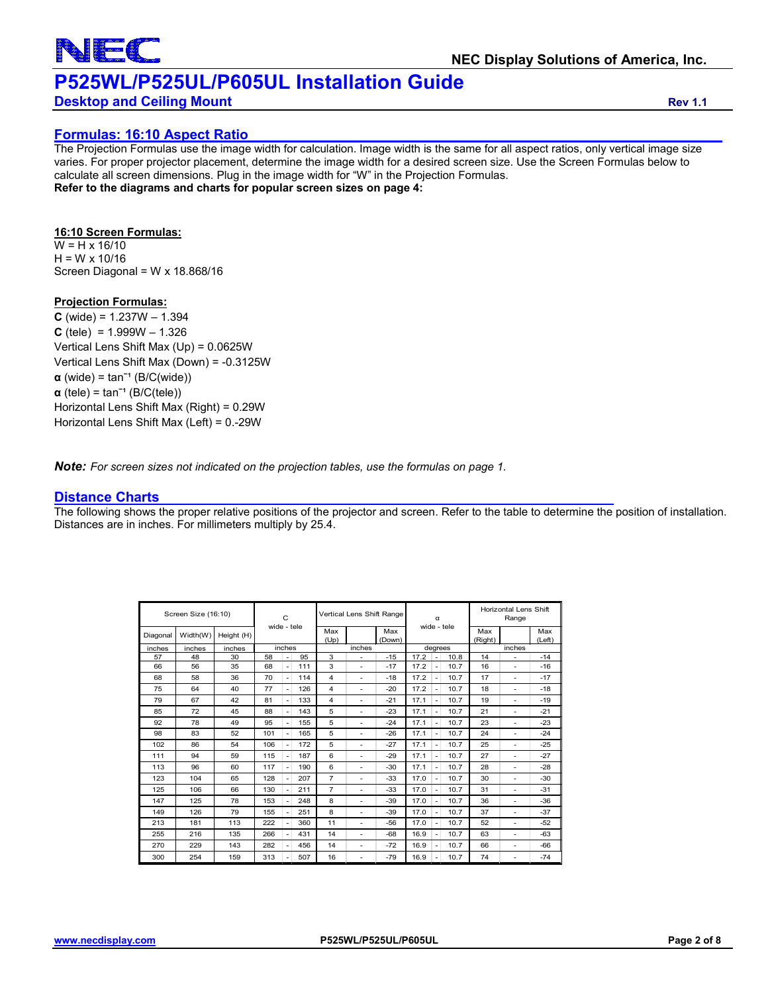

### **Desktop and Ceiling Mount Rev 1.1**

### **Formulas: 16:10 Aspect Ratio**

The Projection Formulas use the image width for calculation. Image width is the same for all aspect ratios, only vertical image size varies. For proper projector placement, determine the image width for a desired screen size. Use the Screen Formulas below to calculate all screen dimensions. Plug in the image width for "W" in the Projection Formulas. **Refer to the diagrams and charts for popular screen sizes on page 4:**

### **16:10 Screen Formulas:**

 $W = H \times 16/10$  $H = W \times 10/16$ Screen Diagonal = W x 18.868/16

### **Projection Formulas:**

 $C$  (wide) = 1.237W  $- 1.394$  $C$  (tele) = 1.999W  $- 1.326$ Vertical Lens Shift Max (Up) = 0.0625W Vertical Lens Shift Max (Down) = -0.3125W  $\alpha$  (wide) = tan<sup>-1</sup> (B/C(wide))  $\alpha$  (tele) = tan<sup>-1</sup> (B/C(tele)) Horizontal Lens Shift Max (Right) = 0.29W Horizontal Lens Shift Max (Left) = 0.-29W

*Note: For screen sizes not indicated on the projection tables, use the formulas on page 1.*

### **Distance Charts**

The following shows the proper relative positions of the projector and screen. Refer to the table to determine the position of installation. Distances are in inches. For millimeters multiply by 25.4.

| Screen Size (16:10) |          | $\mathsf{C}$ |             | Vertical Lens Shift Range |             |                | α                        |             | Horizontal Lens Shift<br>Range |                          |      |               |   |       |
|---------------------|----------|--------------|-------------|---------------------------|-------------|----------------|--------------------------|-------------|--------------------------------|--------------------------|------|---------------|---|-------|
| Diagonal            | Width(W) | Height (H)   | wide - tele |                           | Max<br>(Up) |                | Max<br>(Down)            | wide - tele |                                | Max<br>(Right)           |      | Max<br>(Left) |   |       |
| inches              | inches   | inches       |             | inches                    |             | inches         |                          |             | degrees                        |                          |      | inches        |   |       |
| 57                  | 48       | 30           | 58          | $\overline{a}$            | 95          | 3              | ÷                        | $-15$       | 17.2                           | ÷,                       | 10.8 | 14            |   | $-14$ |
| 66                  | 56       | 35           | 68          | $\overline{\phantom{a}}$  | 111         | 3              | $\overline{\phantom{a}}$ | $-17$       | 17.2                           | ٠                        | 10.7 | 16            | ٠ | $-16$ |
| 68                  | 58       | 36           | 70          | $\overline{\phantom{a}}$  | 114         | 4              | ٠                        | $-18$       | 17.2                           | $\overline{a}$           | 10.7 | 17            | ٠ | $-17$ |
| 75                  | 64       | 40           | 77          | $\overline{\phantom{a}}$  | 126         | 4              | ٠                        | $-20$       | 17.2                           | $\overline{\phantom{a}}$ | 10.7 | 18            | ٠ | $-18$ |
| 79                  | 67       | 42           | 81          | $\overline{\phantom{a}}$  | 133         | 4              | ٠                        | $-21$       | 17.1                           | $\overline{a}$           | 10.7 | 19            | ٠ | $-19$ |
| 85                  | 72       | 45           | 88          | $\overline{\phantom{a}}$  | 143         | 5              | ٠                        | $-23$       | 17.1                           | $\overline{a}$           | 10.7 | 21            | ٠ | $-21$ |
| 92                  | 78       | 49           | 95          | $\overline{\phantom{a}}$  | 155         | 5              | $\overline{\phantom{a}}$ | $-24$       | 17.1                           | $\overline{a}$           | 10.7 | 23            | ٠ | $-23$ |
| 98                  | 83       | 52           | 101         | $\overline{\phantom{a}}$  | 165         | 5              | ٠                        | $-26$       | 17.1                           | ÷                        | 10.7 | 24            | ٠ | $-24$ |
| 102                 | 86       | 54           | 106         | $\overline{\phantom{a}}$  | 172         | 5              | $\overline{\phantom{a}}$ | $-27$       | 17.1                           | $\overline{a}$           | 10.7 | 25            | ٠ | $-25$ |
| 111                 | 94       | 59           | 115         | $\overline{\phantom{a}}$  | 187         | 6              | $\overline{\phantom{a}}$ | $-29$       | 17.1                           | ÷                        | 10.7 | 27            | ٠ | $-27$ |
| 113                 | 96       | 60           | 117         | $\overline{\phantom{a}}$  | 190         | 6              | ٠                        | $-30$       | 17.1                           | ٠                        | 10.7 | 28            | ٠ | $-28$ |
| 123                 | 104      | 65           | 128         | $\overline{\phantom{a}}$  | 207         | $\overline{7}$ | ٠                        | $-33$       | 17.0                           | $\overline{a}$           | 10.7 | 30            | ٠ | $-30$ |
| 125                 | 106      | 66           | 130         | $\overline{a}$            | 211         | $\overline{7}$ | ٠                        | $-33$       | 17.0                           | ÷                        | 10.7 | 31            | ٠ | $-31$ |
| 147                 | 125      | 78           | 153         | $\overline{a}$            | 248         | 8              | ٠                        | $-39$       | 17.0                           | $\overline{a}$           | 10.7 | 36            | ٠ | $-36$ |
| 149                 | 126      | 79           | 155         | $\overline{\phantom{a}}$  | 251         | 8              | ٠                        | $-39$       | 17.0                           | $\overline{a}$           | 10.7 | 37            | ٠ | $-37$ |
| 213                 | 181      | 113          | 222         | ٠                         | 360         | 11             | ٠                        | -56         | 17.0                           | ٠                        | 10.7 | 52            | ٠ | $-52$ |
| 255                 | 216      | 135          | 266         | $\overline{\phantom{a}}$  | 431         | 14             | ٠                        | -68         | 16.9                           | $\overline{a}$           | 10.7 | 63            | ۰ | $-63$ |
| 270                 | 229      | 143          | 282         | ٠                         | 456         | 14             | ٠                        | $-72$       | 16.9                           | $\overline{\phantom{a}}$ | 10.7 | 66            | ۰ | -66   |
| 300                 | 254      | 159          | 313         | ٠                         | 507         | 16             | $\overline{a}$           | $-79$       | 16.9                           | ۰                        | 10.7 | 74            | ۰ | $-74$ |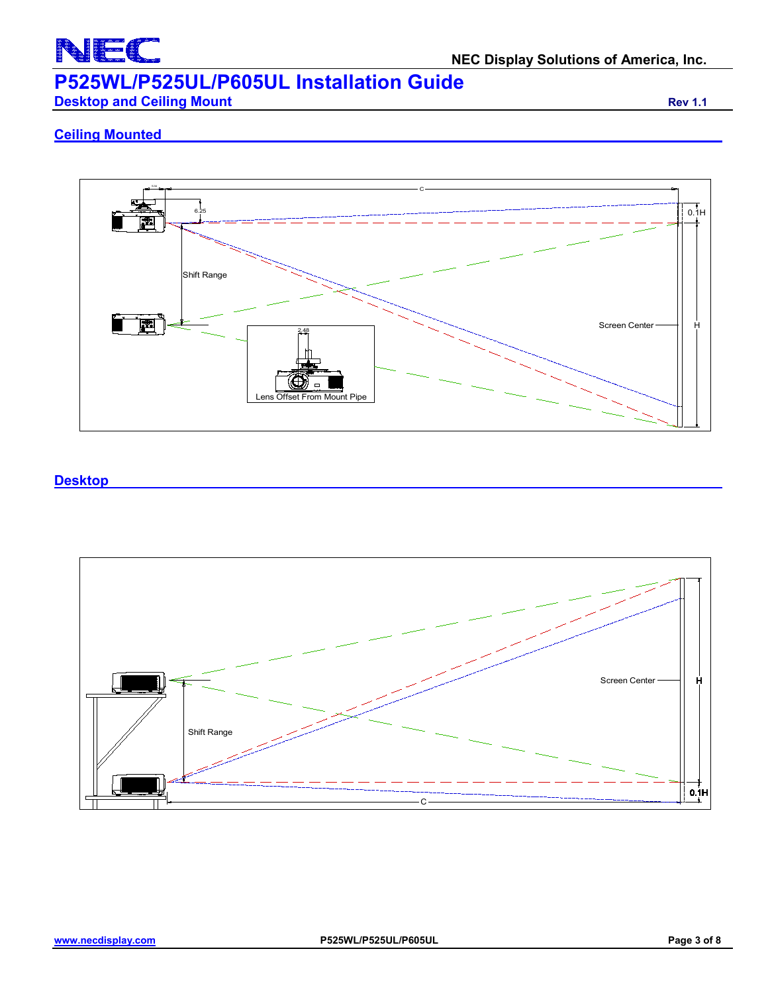

**Desktop and Ceiling Mount Rev 1.1 Rev 1.1** 

### **Ceiling Mounted**



### **Desktop**

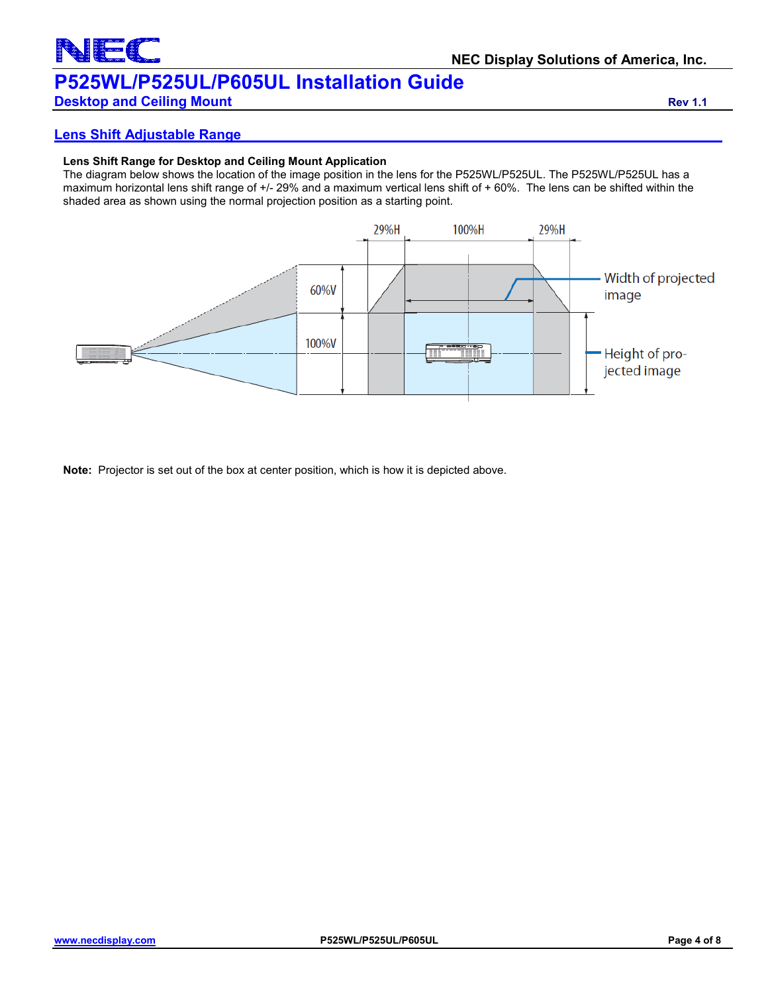### **NEC Display Solutions of America, Inc. P525WL/P525UL/P605UL Installation Guide**

### **Desktop and Ceiling Mount Rev 1.1 Rev 1.1**

**Lens Shift Adjustable Range**

### **Lens Shift Range for Desktop and Ceiling Mount Application**

The diagram below shows the location of the image position in the lens for the P525WL/P525UL. The P525WL/P525UL has a maximum horizontal lens shift range of +/- 29% and a maximum vertical lens shift of + 60%. The lens can be shifted within the shaded area as shown using the normal projection position as a starting point.



**Note:** Projector is set out of the box at center position, which is how it is depicted above.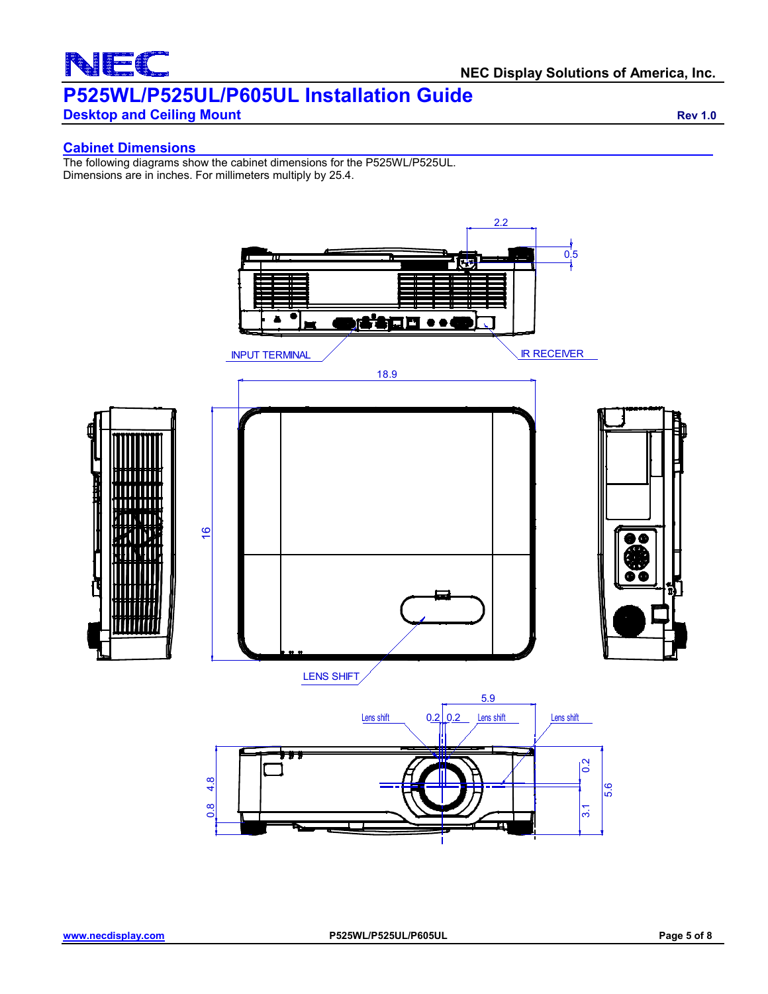# $\overline{\phantom{0}}$

## **P525WL/P525UL/P605UL Installation Guide**

**Desktop and Ceiling Mount Rev 1.0 Rev 1.0 Rev 1.0** 

### **Cabinet Dimensions**

The following diagrams show the cabinet dimensions for the P525WL/P525UL. Dimensions are in inches. For millimeters multiply by 25.4.

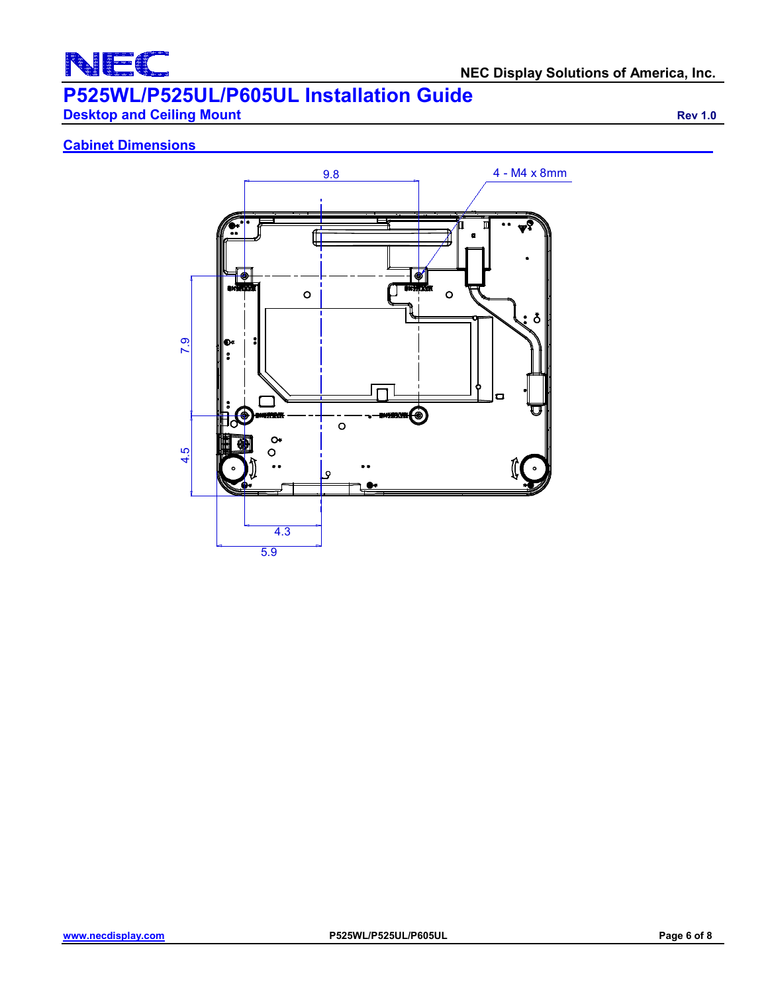

**Desktop and Ceiling Mount Rev 1.0** 

### **Cabinet Dimensions**

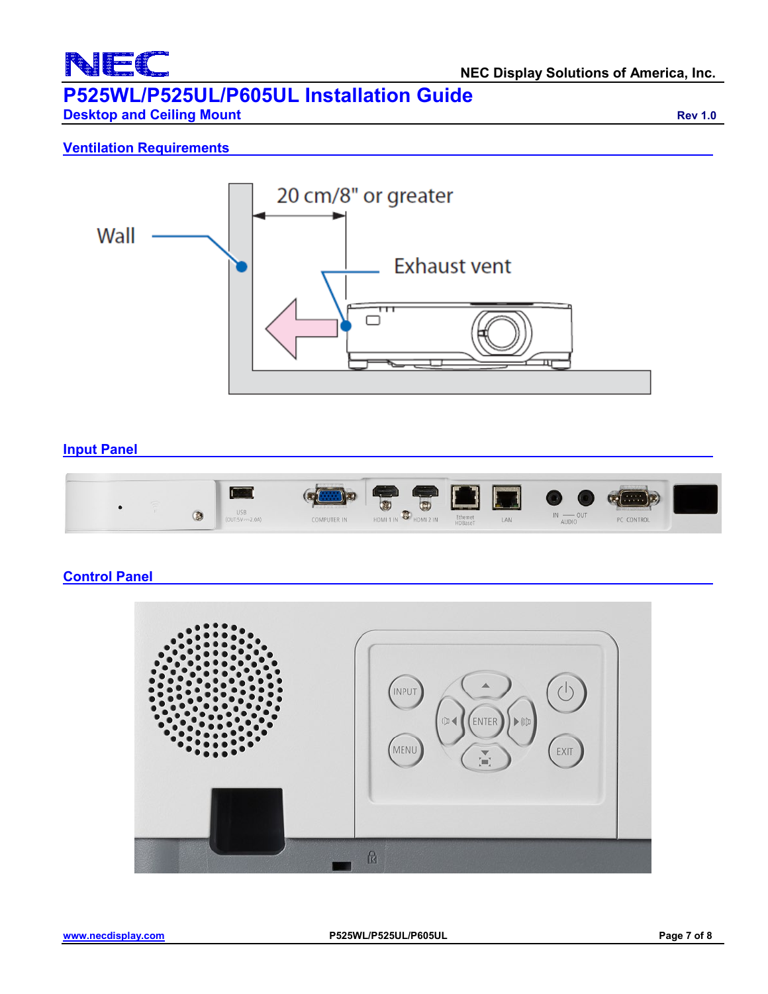

**Desktop and Ceiling Mount Rev 1.0 Rev 1.0 Rev 1.0** 

### **Ventilation Requirements**



### **Input Panel**



### **Control Panel**